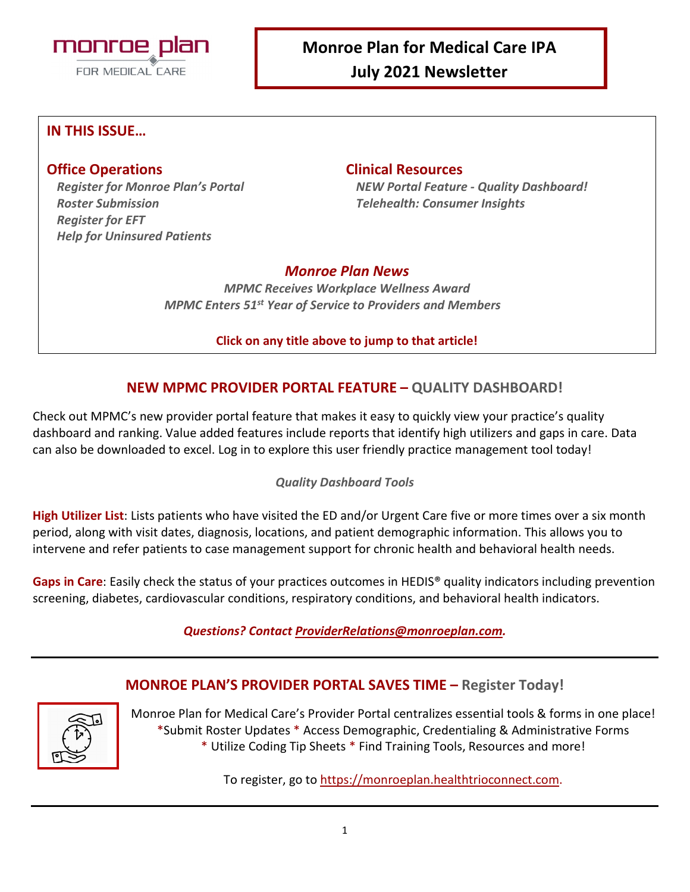

### **IN THIS ISSUE…**

#### **Office Operations Clinical Resources**

*Roster Submission Telehealth: Consumer Insights Register for EFT Help for Uninsured Patients* 

*Register for Monroe Plan's Portal NEW Portal Feature - Quality Dashboard!*

### *Monroe Plan News*

*MPMC Receives Workplace Wellness Award MPMC Enters 51st Year of Service to Providers and Members*

#### **Click on any title above to jump to that article!**

### **NEW MPMC PROVIDER PORTAL FEATURE – QUALITY DASHBOARD!**

Check out MPMC's new provider portal feature that makes it easy to quickly view your practice's quality dashboard and ranking. Value added features include reports that identify high utilizers and gaps in care. Data can also be downloaded to excel. Log in to explore this user friendly practice management tool today!

#### *Quality Dashboard Tools*

**High Utilizer List**: Lists patients who have visited the ED and/or Urgent Care five or more times over a six month period, along with visit dates, diagnosis, locations, and patient demographic information. This allows you to intervene and refer patients to case management support for chronic health and behavioral health needs.

**Gaps in Care**: Easily check the status of your practices outcomes in HEDIS® quality indicators including prevention screening, diabetes, cardiovascular conditions, respiratory conditions, and behavioral health indicators.

#### *Questions? Contact [ProviderRelations@monroeplan.com.](mailto:ProviderRelations@monroeplan.com)*

#### **MONROE PLAN'S PROVIDER PORTAL SAVES TIME – Register Today!**



Monroe Plan for Medical Care's Provider Portal centralizes essential tools & forms in one place! \*Submit Roster Updates \* Access Demographic, Credentialing & Administrative Forms \* Utilize Coding Tip Sheets \* Find Training Tools, Resources and more!

To register, go to [https://monroeplan.healthtrioconnect.com.](https://monroeplan.healthtrioconnect.com/)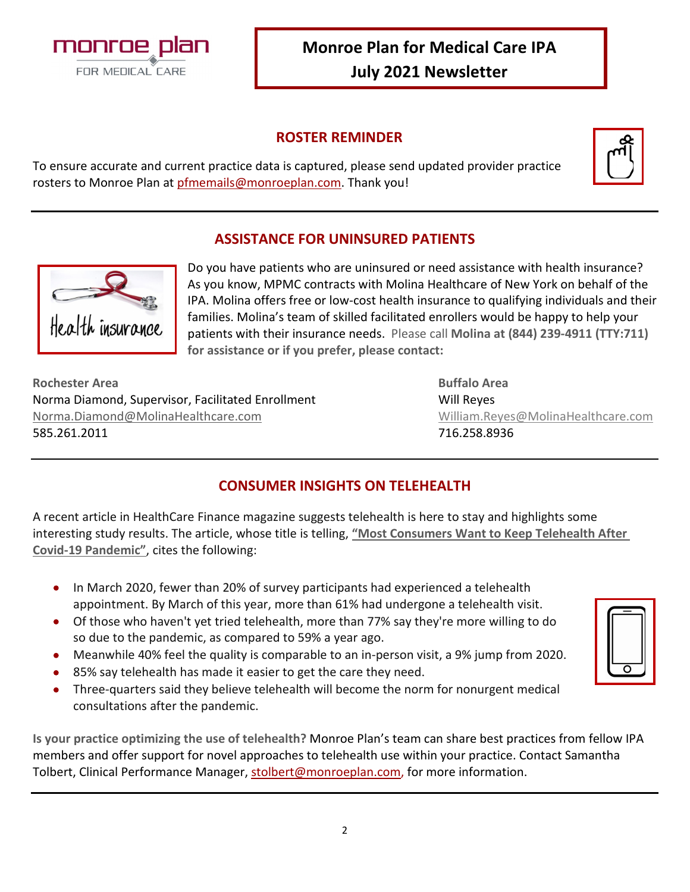

### **ROSTER REMINDER**

|--|

To ensure accurate and current practice data is captured, please send updated provider practice rosters to Monroe Plan at [pfmemails@monroeplan.com.](mailto:pfmemails@monroeplan.com) Thank you!

# **ASSISTANCE FOR UNINSURED PATIENTS**



Do you have patients who are uninsured or need assistance with health insurance? As you know, MPMC contracts with Molina Healthcare of New York on behalf of the IPA. Molina offers free or low-cost health insurance to qualifying individuals and their families. Molina's team of skilled facilitated enrollers would be happy to help your patients with their insurance needs. Please call **Molina at (844) 239-4911 (TTY:711) for assistance or if you prefer, please contact:** 

**Rochester Area Buffalo Area** Norma Diamond, Supervisor, Facilitated Enrollment Will Reves [Norma.Diamond@MolinaHealthcare.com](mailto:Norma.Diamond@MolinaHealthcare.com) [William.Reyes@MolinaHealthcare.com](mailto:William.Reyes@MolinaHealthcare.com) 585.261.2011 716.258.8936

# **CONSUMER INSIGHTS ON TELEHEALTH**

A recent article in HealthCare Finance magazine suggests telehealth is here to stay and highlights some interesting study results. The article, whose title is telling, **["Most Consumers Want to Keep Telehealth After](https://www.healthcarefinancenews.com/news/most-consumers-want-keep-telehealth-after-covid-19-pandemic)  Covid-19 [Pandemic"](https://www.healthcarefinancenews.com/news/most-consumers-want-keep-telehealth-after-covid-19-pandemic)**, cites the following:

- In March 2020, fewer than 20% of survey participants had experienced a telehealth appointment. By March of this year, more than 61% had undergone a telehealth visit.
- Of those who haven't yet tried telehealth, more than 77% say they're more willing to do so due to the pandemic, as compared to 59% a year ago.
- Meanwhile 40% feel the quality is comparable to an in-person visit, a 9% jump from 2020.
- 85% say telehealth has made it easier to get the care they need.
- Three-quarters said they believe telehealth will become the norm for nonurgent medical consultations after the pandemic.

**Is your practice optimizing the use of telehealth?** Monroe Plan's team can share best practices from fellow IPA members and offer support for novel approaches to telehealth use within your practice. Contact Samantha Tolbert, Clinical Performance Manager, [stolbert@monroeplan.com,](mailto:stolbert@monroeplan.com) for more information.